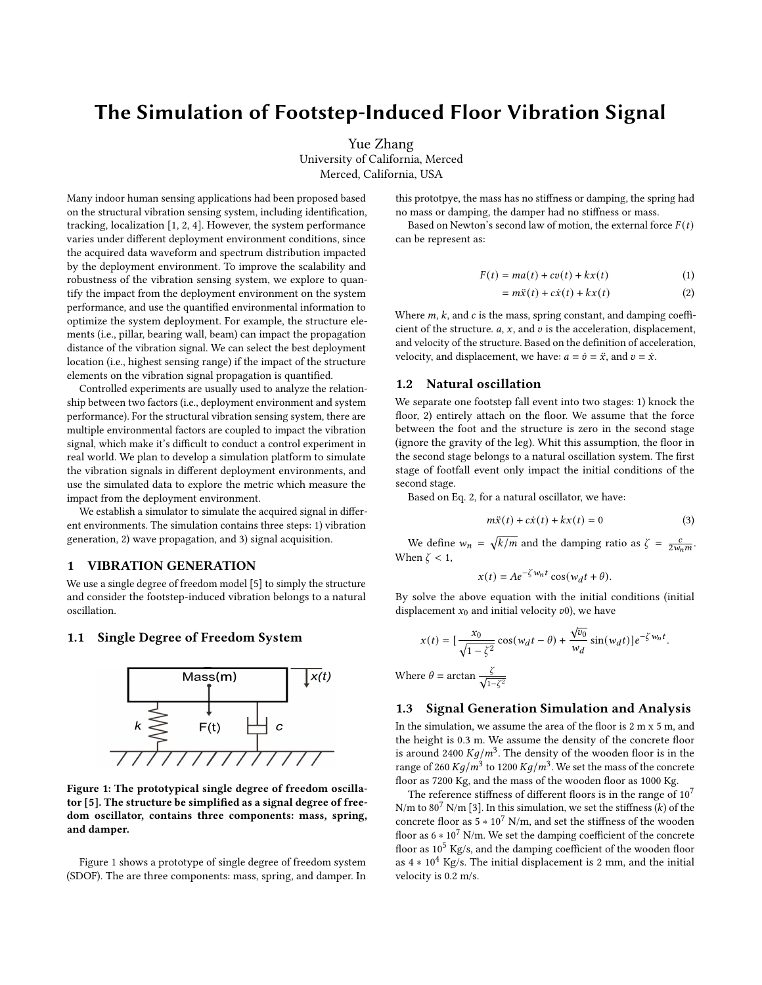# The Simulation of Footstep-Induced Floor Vibration Signal

Yue Zhang University of California, Merced Merced, California, USA

Many indoor human sensing applications had been proposed based on the structural vibration sensing system, including identification, tracking, localization [\[1,](#page-2-0) [2,](#page-2-1) [4\]](#page-2-2). However, the system performance varies under different deployment environment conditions, since the acquired data waveform and spectrum distribution impacted by the deployment environment. To improve the scalability and robustness of the vibration sensing system, we explore to quantify the impact from the deployment environment on the system performance, and use the quantified environmental information to optimize the system deployment. For example, the structure elements (i.e., pillar, bearing wall, beam) can impact the propagation distance of the vibration signal. We can select the best deployment location (i.e., highest sensing range) if the impact of the structure elements on the vibration signal propagation is quantified.

Controlled experiments are usually used to analyze the relationship between two factors (i.e., deployment environment and system performance). For the structural vibration sensing system, there are multiple environmental factors are coupled to impact the vibration signal, which make it's difficult to conduct a control experiment in real world. We plan to develop a simulation platform to simulate the vibration signals in different deployment environments, and use the simulated data to explore the metric which measure the impact from the deployment environment.

We establish a simulator to simulate the acquired signal in different environments. The simulation contains three steps: 1) vibration generation, 2) wave propagation, and 3) signal acquisition.

#### 1 VIBRATION GENERATION

We use a single degree of freedom model [\[5\]](#page-2-3) to simply the structure and consider the footstep-induced vibration belongs to a natural oscillation.

# <span id="page-0-0"></span>1.1 Single Degree of Freedom System



Figure 1: The prototypical single degree of freedom oscillator [\[5\]](#page-2-3). The structure be simplified as a signal degree of freedom oscillator, contains three components: mass, spring, and damper.

Figure [1](#page-0-0) shows a prototype of single degree of freedom system (SDOF). The are three components: mass, spring, and damper. In this prototpye, the mass has no stiffness or damping, the spring had no mass or damping, the damper had no stiffness or mass.

Based on Newton's second law of motion, the external force  $F(t)$ can be represent as:

$$
F(t) = ma(t) + cv(t) + kx(t)
$$
\n(1)

<span id="page-0-1"></span>
$$
= m\ddot{x}(t) + c\dot{x}(t) + kx(t)
$$
 (2)

Where  $m$ ,  $k$ , and  $c$  is the mass, spring constant, and damping coefficient of the structure.  $a$ ,  $x$ , and  $v$  is the acceleration, displacement, and velocity of the structure. Based on the definition of acceleration, velocity, and displacement, we have:  $a = \dot{v} = \ddot{x}$ , and  $v = \dot{x}$ .

### 1.2 Natural oscillation

We separate one footstep fall event into two stages: 1) knock the floor, 2) entirely attach on the floor. We assume that the force between the foot and the structure is zero in the second stage (ignore the gravity of the leg). Whit this assumption, the floor in the second stage belongs to a natural oscillation system. The first stage of footfall event only impact the initial conditions of the second stage.

Based on Eq. [2,](#page-0-1) for a natural oscillator, we have:

$$
m\ddot{x}(t) + c\dot{x}(t) + kx(t) = 0
$$
\n(3)

We define  $w_n = \sqrt{k/m}$  and the damping ratio as  $\zeta = \frac{c}{2w_n m}$ . When  $\zeta$  < 1,

$$
x(t) = Ae^{-\zeta w_n t} \cos(w_d t + \theta).
$$

By solve the above equation with the initial conditions (initial displacement  $x_0$  and initial velocity  $v_0$ ), we have

$$
x(t) = \left[\frac{x_0}{\sqrt{1 - \zeta^2}} \cos(w_d t - \theta) + \frac{\sqrt{v_0}}{w_d} \sin(w_d t)\right] e^{-\zeta w_n t}.
$$
  
Where  $\theta = \arctan \frac{\zeta}{\sqrt{1 - \zeta^2}}$ 

#### 1.3 Signal Generation Simulation and Analysis

In the simulation, we assume the area of the floor is 2 m x 5 m, and the height is 0.3 m. We assume the density of the concrete floor is around 2400  $Kg/m^3$ . The density of the wooden floor is in the range of 260  $Kg/m^3$  to 1200  $Kg/m^3$ . We set the mass of the concrete floor as 7200 Kg, and the mass of the wooden floor as 1000 Kg.

The reference stiffness of different floors is in the range of  $10<sup>7</sup>$ N/m to 80<sup>7</sup> N/m [\[3\]](#page-2-4). In this simulation, we set the stiffness  $(k)$  of the concrete floor as  $5 * 10^7$  N/m, and set the stiffness of the wooden floor as  $6 * 10^7$  N/m. We set the damping coefficient of the concrete floor as  $10^5$  Kg/s, and the damping coefficient of the wooden floor as  $4 * 10<sup>4</sup>$  Kg/s. The initial displacement is 2 mm, and the initial velocity is 0.2 m/s.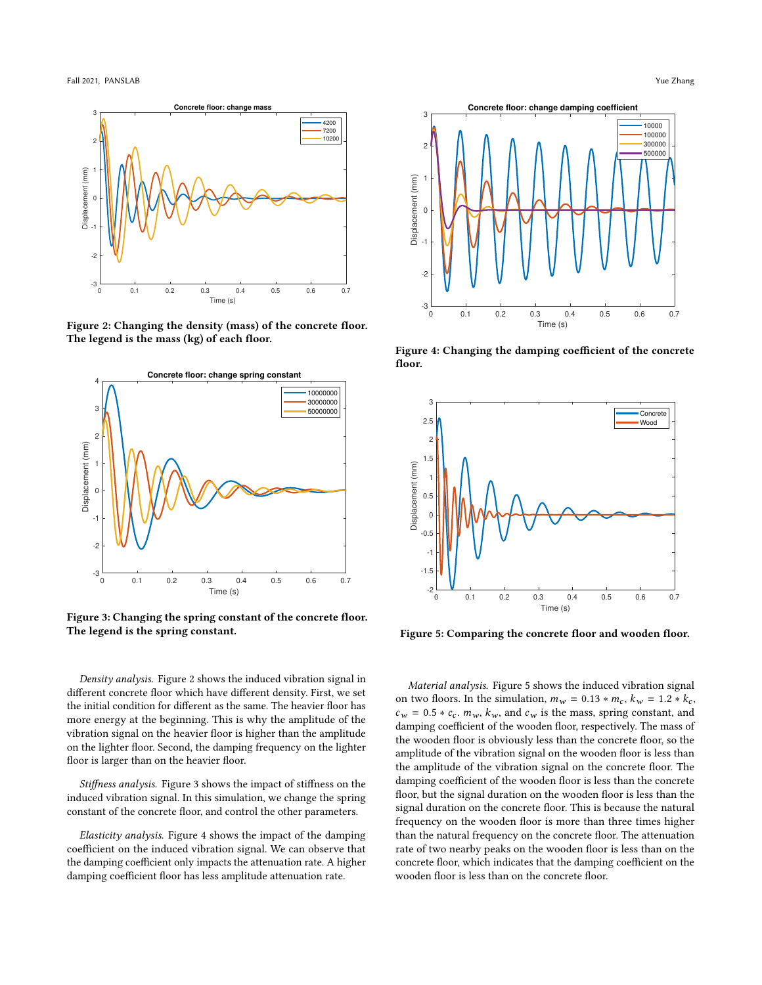<span id="page-1-0"></span>

Figure 2: Changing the density (mass) of the concrete floor. The legend is the mass (kg) of each floor.

<span id="page-1-1"></span>

Figure 3: Changing the spring constant of the concrete floor. The legend is the spring constant.

Density analysis. Figure [2](#page-1-0) shows the induced vibration signal in different concrete floor which have different density. First, we set the initial condition for different as the same. The heavier floor has more energy at the beginning. This is why the amplitude of the vibration signal on the heavier floor is higher than the amplitude on the lighter floor. Second, the damping frequency on the lighter floor is larger than on the heavier floor.

Stiffness analysis. Figure [3](#page-1-1) shows the impact of stiffness on the induced vibration signal. In this simulation, we change the spring constant of the concrete floor, and control the other parameters.

Elasticity analysis. Figure [4](#page-1-2) shows the impact of the damping coefficient on the induced vibration signal. We can observe that the damping coefficient only impacts the attenuation rate. A higher damping coefficient floor has less amplitude attenuation rate.

<span id="page-1-2"></span>

Figure 4: Changing the damping coefficient of the concrete floor.

<span id="page-1-3"></span>

Figure 5: Comparing the concrete floor and wooden floor.

Material analysis. Figure [5](#page-1-3) shows the induced vibration signal on two floors. In the simulation,  $m_w = 0.13 * m_c$ ,  $k_w = 1.2 * k_c$ ,  $c_w = 0.5 * c_c$ .  $m_w$ ,  $k_w$ , and  $c_w$  is the mass, spring constant, and damping coefficient of the wooden floor, respectively. The mass of the wooden floor is obviously less than the concrete floor, so the amplitude of the vibration signal on the wooden floor is less than the amplitude of the vibration signal on the concrete floor. The damping coefficient of the wooden floor is less than the concrete floor, but the signal duration on the wooden floor is less than the signal duration on the concrete floor. This is because the natural frequency on the wooden floor is more than three times higher than the natural frequency on the concrete floor. The attenuation rate of two nearby peaks on the wooden floor is less than on the concrete floor, which indicates that the damping coefficient on the wooden floor is less than on the concrete floor.